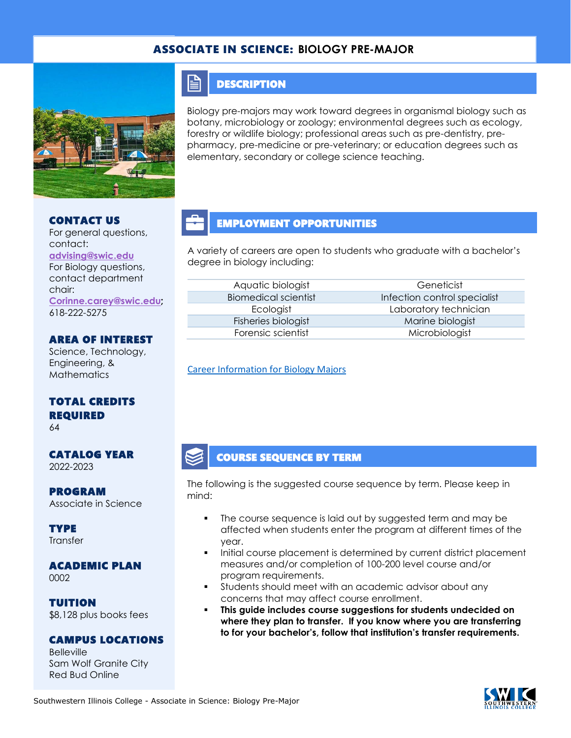### ASSOCIATE IN SCIENCE: **BIOLOGY PRE-MAJOR**



### **DESCRIPTION**

FI

Biology pre-majors may work toward degrees in organismal biology such as botany, microbiology or zoology; environmental degrees such as ecology, forestry or wildlife biology; professional areas such as pre-dentistry, prepharmacy, pre-medicine or pre-veterinary; or education degrees such as elementary, secondary or college science teaching.

#### CONTACT US

For general questions, contact: **[advising@swic.edu](mailto:advising@swic.edu)** For Biology questions, contact department chair: **[Corinne.carey@swic.edu;](mailto:Corinne.carey@swic.edu)**

618-222-5275

### AREA OF INTEREST

Science, Technology, Engineering, & **Mathematics** 

## TOTAL CREDITS REQUIRED

64

#### CATALOG YEAR 2022-2023

PROGRAM Associate in Science

**TYPE Transfer** 

ACADEMIC PLAN 0002

TUITION \$8,128 plus books fees

#### CAMPUS LOCATIONS

Belleville Sam Wolf Granite City Red Bud Online

### EMPLOYMENT OPPORTUNITIES

A variety of careers are open to students who graduate with a bachelor's degree in biology including:

| Aquatic biologist          |
|----------------------------|
| <b>Biomedical scientis</b> |
| Ecologist                  |
| Fisheries biologist        |
| Forensic scientist         |

Geneticist Infection control specialist Laboratory technician Marine biologist Microbiologist

[Career Information for Biology Majors](https://www.onetonline.org/find/quick?s=biology)

## COURSE SEQUENCE BY TERM

The following is the suggested course sequence by term. Please keep in mind:

- The course sequence is laid out by suggested term and may be affected when students enter the program at different times of the year.
- Initial course placement is determined by current district placement measures and/or completion of 100-200 level course and/or program requirements.
- **•** Students should meet with an academic advisor about any concerns that may affect course enrollment.
- This guide includes course suggestions for students undecided on **where they plan to transfer. If you know where you are transferring to for your bachelor's, follow that institution's transfer requirements.**